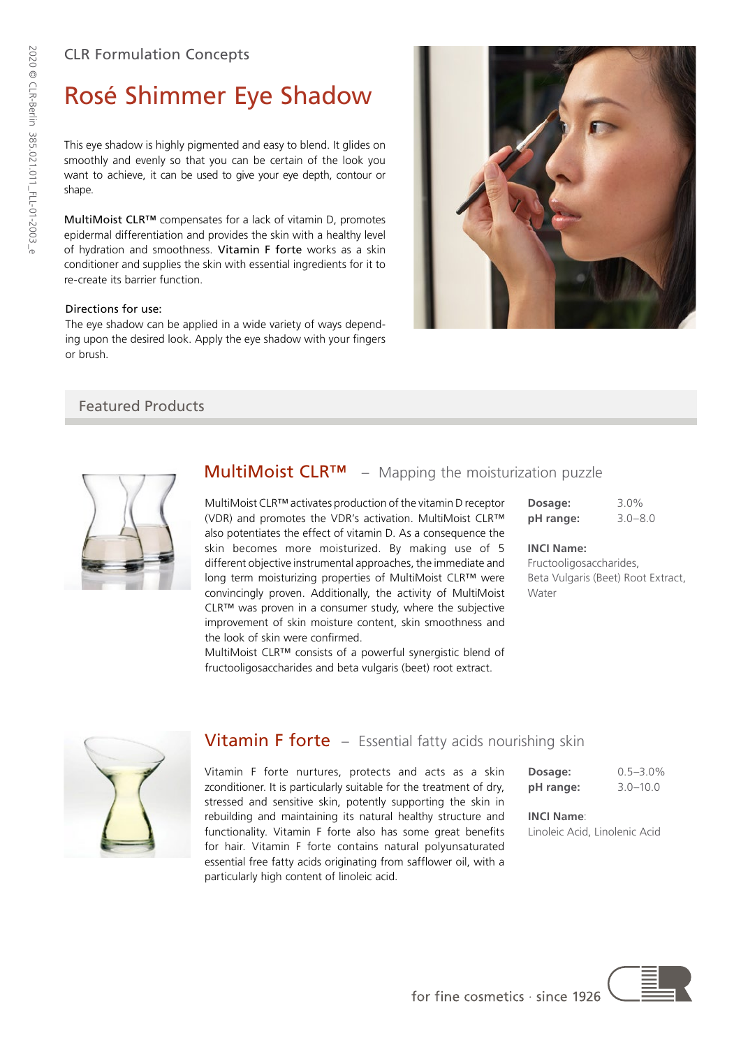## CLR Formulation Concepts

# Rosé Shimmer Eye Shadow

This eye shadow is highly pigmented and easy to blend. It glides on smoothly and evenly so that you can be certain of the look you want to achieve, it can be used to give your eye depth, contour or shape.

MultiMoist CLR™ compensates for a lack of vitamin D, promotes epidermal differentiation and provides the skin with a healthy level of hydration and smoothness. Vitamin F forte works as a skin conditioner and supplies the skin with essential ingredients for it to re-create its barrier function.

### Directions for use:

The eye shadow can be applied in a wide variety of ways depending upon the desired look. Apply the eye shadow with your fingers or brush.



## Featured Products



# **MultiMoist CLR™** − Mapping the moisturization puzzle

MultiMoist CLR™ activates production of the vitamin D receptor (VDR) and promotes the VDR's activation. MultiMoist CLR™ also potentiates the effect of vitamin D. As a consequence the skin becomes more moisturized. By making use of 5 different objective instrumental approaches, the immediate and long term moisturizing properties of MultiMoist CLR™ were convincingly proven. Additionally, the activity of MultiMoist CLR™ was proven in a consumer study, where the subjective improvement of skin moisture content, skin smoothness and the look of skin were confirmed.

MultiMoist CLR™ consists of a powerful synergistic blend of fructooligosaccharides and beta vulgaris (beet) root extract.

| Dosage:   | 3.0%        |
|-----------|-------------|
| pH range: | $3.0 - 8.0$ |

#### **INCI Name:**

Fructooligosaccharides, Beta Vulgaris (Beet) Root Extract, Water



## Vitamin F forte – Essential fatty acids nourishing skin

Vitamin F forte nurtures, protects and acts as a skin zconditioner. It is particularly suitable for the treatment of dry, stressed and sensitive skin, potently supporting the skin in rebuilding and maintaining its natural healthy structure and functionality. Vitamin F forte also has some great benefits for hair. Vitamin F forte contains natural polyunsaturated essential free fatty acids originating from safflower oil, with a particularly high content of linoleic acid.

**Dosage:** 0.5–3.0% **pH range:** 3.0–10.0

**INCI Name**: Linoleic Acid, Linolenic Acid